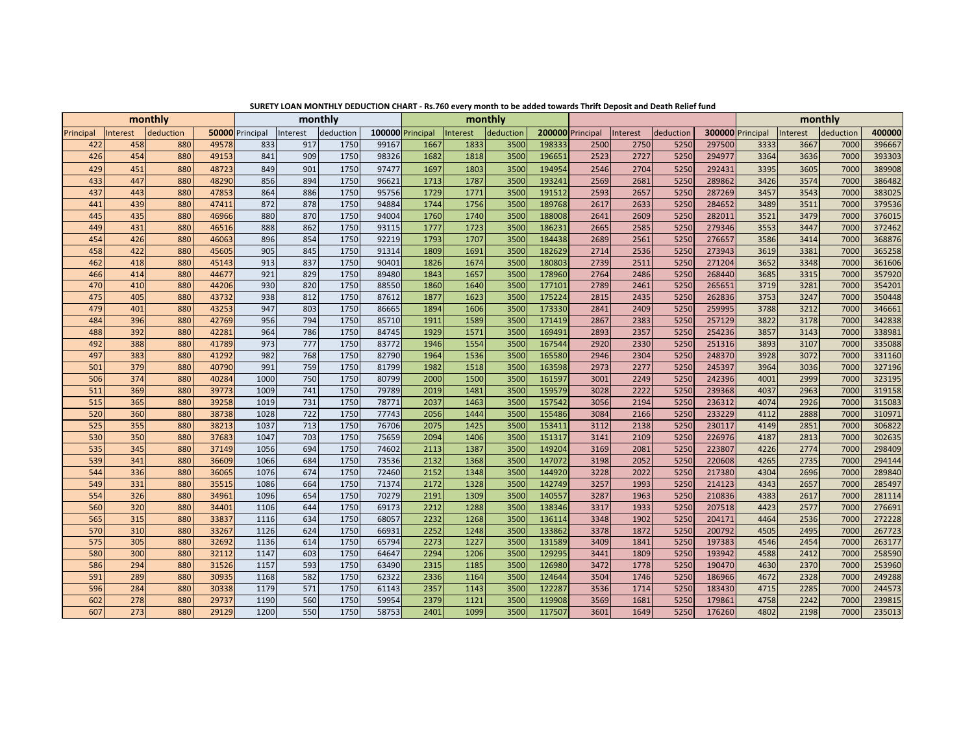|           |          | monthly    |       | monthly         |          |           |       | monthly          |          |           |        |                  |          |           |        | monthly          |          |             |        |
|-----------|----------|------------|-------|-----------------|----------|-----------|-------|------------------|----------|-----------|--------|------------------|----------|-----------|--------|------------------|----------|-------------|--------|
| Principal | Interest | deduction  |       | 50000 Principal | Interest | deduction |       | 100000 Principal | Interest | deduction |        | 200000 Principal | Interest | deduction |        | 300000 Principal | Interest | deduction   | 400000 |
| 422       | 458      | 880        | 49578 | 833             | 917      | 1750      | 99167 | 1667             | 1833     | 3500      | 198333 | 2500             | 2750     | 5250      | 297500 | 3333             | 3667     | 7000        | 396667 |
| 426       | 454      | 880        | 49153 | 841             | 909      | 1750      | 98326 | 1682             | 1818     | 3500      | 196651 | 2523             | 2727     | 5250      | 294977 | 3364             | 3636     | 7000        | 393303 |
| 429       | 451      | <b>880</b> | 48723 | 849             | 901      | 1750      | 97477 | 1697             | 1803     | 3500      | 194954 | 2546             | 2704     | 5250      | 292431 | 3395             | 3605     | 7000        | 389908 |
| 433       | 447      | 880        | 48290 | 856             | 894      | 1750      | 96621 | 1713             | 1787     | 3500      | 193241 | 2569             | 2681     | 5250      | 289862 | 3426             | 3574     | 7000        | 386482 |
| 437       | 443      | <b>880</b> | 47853 | 864             | 886      | 1750      | 95756 | 1729             | 1771     | 3500      | 191512 | 2593             | 2657     | 5250      | 287269 | 3457             | 3543     | 7000        | 383025 |
| 441       | 439      | 880        | 47411 | 872             | 878      | 1750      | 94884 | 1744             | 1756     | 3500      | 189768 | 2617             | 2633     | 5250      | 284652 | 3489             | 3511     | 7000        | 379536 |
| 445       | 435      | 880        | 46966 | 880             | 870      | 1750      | 94004 | 1760             | 1740     | 3500      | 188008 | 2641             | 2609     | 5250      | 282011 | 3521             | 3479     | 7000        | 376015 |
| 449       | 431      | 880        | 46516 | 888             | 862      | 1750      | 93115 | 1777             | 1723     | 3500      | 186231 | 2665             | 2585     | 5250      | 279346 | 3553             | 3447     | 7000        | 372462 |
| 454       | 426      | 880        | 46063 | 896             | 854      | 1750      | 92219 | 1793             | 1707     | 3500      | 184438 | 2689             | 2561     | 5250      | 276657 | 3586             | 3414     | <b>7000</b> | 368876 |
| 458       | 422      | 880        | 45605 | 905             | 845      | 1750      | 91314 | 1809             | 1691     | 3500      | 182629 | 2714             | 2536     | 5250      | 273943 | 3619             | 3381     | 7000        | 365258 |
| 462       | 418      | 880        | 45143 | 913             | 837      | 1750      | 90401 | 1826             | 1674     | 3500      | 180803 | 2739             | 2511     | 5250      | 271204 | 3652             | 3348     | 7000        | 361606 |
| 466       | 414      | <b>880</b> | 44677 | 921             | 829      | 1750      | 89480 | 1843             | 1657     | 3500      | 178960 | 2764             | 2486     | 5250      | 268440 | 3685             | 3315     | 7000        | 357920 |
| 470       | 410      | 880        | 44206 | 930             | 820      | 1750      | 88550 | 1860             | 1640     | 3500      | 177101 | 2789             | 2461     | 5250      | 265651 | 3719             | 3281     | 7000        | 354201 |
| 475       | 405      | 880        | 43732 | 938             | 812      | 1750      | 87612 | 1877             | 1623     | 3500      | 175224 | 2815             | 2435     | 5250      | 262836 | 3753             | 3247     | 7000        | 350448 |
| 479       | 401      | 880        | 43253 | 947             | 803      | 1750      | 86665 | 1894             | 1606     | 3500      | 173330 | 2841             | 2409     | 5250      | 259995 | 3788             | 3212     | 7000        | 346661 |
| 484       | 396      | 880        | 42769 | 956             | 794      | 1750      | 85710 | 1911             | 1589     | 3500      | 171419 | 2867             | 2383     | 5250      | 257129 | 3822             | 3178     | 7000        | 342838 |
| 488       | 392      | 880        | 42281 | 964             | 786      | 1750      | 84745 | 1929             | 1571     | 3500      | 169491 | 2893             | 2357     | 5250      | 254236 | 3857             | 3143     | 7000        | 338981 |
| 492       | 388      | 880        | 41789 | 973             | 777      | 1750      | 83772 | 1946             | 1554     | 3500      | 167544 | 2920             | 2330     | 5250      | 251316 | 3893             | 3107     | 7000        | 335088 |
| 497       | 383      | <b>880</b> | 41292 | 982             | 768      | 1750      | 82790 | 1964             | 1536     | 3500      | 165580 | 2946             | 2304     | 5250      | 248370 | 3928             | 3072     | 7000        | 331160 |
| 501       | 379      | 880        | 40790 | 991             | 759      | 1750      | 81799 | 1982             | 1518     | 3500      | 163598 | 2973             | 2277     | 5250      | 245397 | 3964             | 3036     | 7000        | 327196 |
| 506       | 374      | <b>880</b> | 40284 | 1000            | 750      | 1750      | 80799 | 2000             | 1500     | 3500      | 161597 | 3001             | 2249     | 5250      | 242396 | 4001             | 2999     | 7000        | 323195 |
| 511       | 369      | 880        | 39773 | 1009            | 741      | 1750      | 79789 | 2019             | 1481     | 3500      | 159579 | 3028             | 2222     | 5250      | 239368 | 4037             | 2963     | 7000        | 319158 |
| 515       | 365      | 880        | 39258 | 1019            | 731      | 1750      | 78771 | 2037             | 1463     | 3500      | 157542 | 3056             | 2194     | 5250      | 236312 | 4074             | 2926     | 7000        | 315083 |
| 520       | 360      | 880        | 38738 | 1028            | 722      | 1750      | 77743 | 2056             | 1444     | 3500      | 155486 | 3084             | 2166     | 5250      | 233229 | 4112             | 2888     | 7000        | 310971 |
| 525       | 355      | 880        | 38213 | 1037            | 713      | 1750      | 76706 | 2075             | 1425     | 3500      | 153411 | 3112             | 2138     | 5250      | 230117 | 4149             | 2851     | 7000        | 306822 |
| 530       | 350      | 880        | 37683 | 1047            | 703      | 1750      | 75659 | 2094             | 1406     | 3500      | 151317 | 3141             | 2109     | 5250      | 226976 | 4187             | 2813     | 7000        | 302635 |
| 535       | 345      | 880        | 37149 | 1056            | 694      | 1750      | 74602 | 2113             | 1387     | 3500      | 149204 | 3169             | 2081     | 5250      | 223807 | 4226             | 2774     | <b>7000</b> | 298409 |
| 539       | 341      | 880        | 36609 | 1066            | 684      | 1750      | 73536 | 2132             | 1368     | 3500      | 147072 | 3198             | 2052     | 5250      | 220608 | 4265             | 2735     | 7000        | 294144 |
| 544       | 336      | 880        | 36065 | 1076            | 674      | 1750      | 72460 | 2152             | 1348     | 3500      | 144920 | 3228             | 2022     | 5250      | 217380 | 4304             | 2696     | 7000        | 289840 |
| 549       | 331      | 880        | 35515 | 1086            | 664      | 1750      | 71374 | 2172             | 1328     | 3500      | 142749 | 3257             | 1993     | 5250      | 214123 | 4343             | 2657     | 7000        | 285497 |
| 554       | 326      | 880        | 34961 | 1096            | 654      | 1750      | 70279 | 2191             | 1309     | 3500      | 140557 | 3287             | 1963     | 5250      | 210836 | 4383             | 2617     | 7000        | 281114 |
| 560       | 320      | 880        | 34401 | 1106            | 644      | 1750      | 69173 | 2212             | 1288     | 3500      | 138346 | 3317             | 1933     | 5250      | 207518 | 4423             | 2577     | 7000        | 276691 |
| 565       | 315      | 880        | 33837 | 1116            | 634      | 1750      | 68057 | 2232             | 1268     | 3500      | 136114 | 3348             | 1902     | 5250      | 204171 | 4464             | 2536     | 7000        | 272228 |
| 570       | 310      | 880        | 33267 | 1126            | 624      | 1750      | 66931 | 2252             | 1248     | 3500      | 133862 | 3378             | 1872     | 5250      | 200792 | 4505             | 2495     | 7000        | 267723 |
| 575       | 305      | 880        | 32692 | 1136            | 614      | 1750      | 65794 | 2273             | 1227     | 3500      | 131589 | 3409             | 1841     | 5250      | 197383 | 4546             | 2454     | 7000        | 263177 |
| 580       | 300      | 880        | 32112 | 1147            | 603      | 1750      | 64647 | 2294             | 1206     | 3500      | 129295 | 3441             | 1809     | 5250      | 193942 | 4588             | 2412     | 7000        | 258590 |
| 586       | 294      | 880        | 31526 | 1157            | 593      | 1750      | 63490 | 2315             | 1185     | 3500      | 126980 | 3472             | 1778     | 5250      | 190470 | 4630             | 2370     | 7000        | 253960 |
| 591       | 289      | 880        | 30935 | 1168            | 582      | 1750      | 62322 | 2336             | 1164     | 3500      | 124644 | 3504             | 1746     | 5250      | 186966 | 4672             | 2328     | <b>7000</b> | 249288 |
| 596       | 284      | <b>880</b> | 30338 | 1179            | 571      | 1750      | 61143 | 2357             | 1143     | 3500      | 122287 | 3536             | 1714     | 5250      | 183430 | 4715             | 2285     | 7000        | 244573 |
| 602       | 278      | 880        | 29737 | 1190            | 560      | 1750      | 59954 | 2379             | 1121     | 3500      | 119908 | 3569             | 1681     | 5250      | 179861 | 4758             | 2242     | 7000        | 239815 |
| 607       | 273      | 880        | 29129 | 1200            | 550      | 1750      | 58753 | 2401             | 1099     | 3500      | 117507 | 3601             | 1649     | 5250      | 176260 | 4802             | 2198     | 7000        | 235013 |

**SURETY LOAN MONTHLY DEDUCTION CHART - Rs.760 every month to be added towards Thrift Deposit and Death Relief fund**